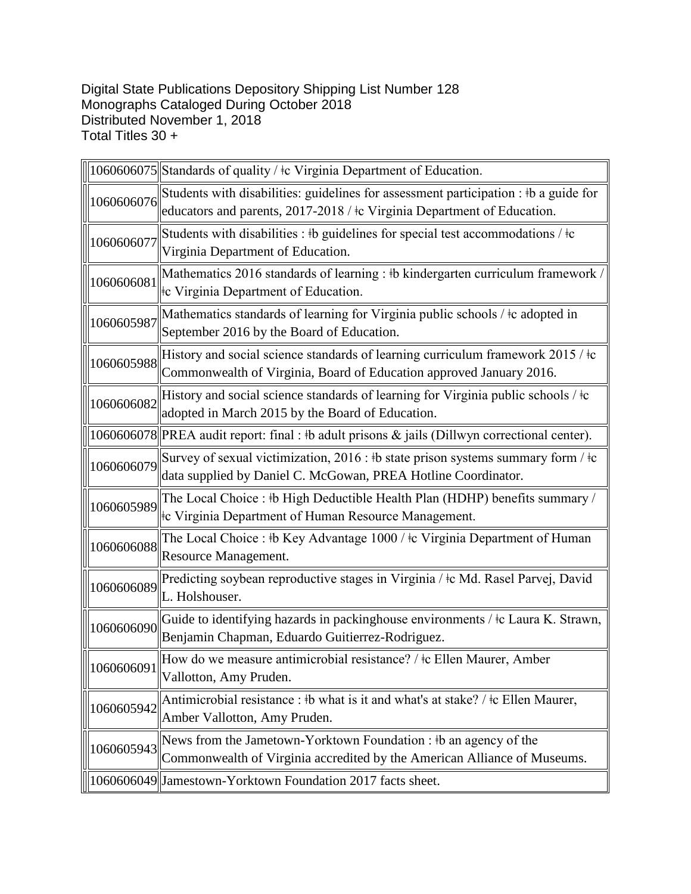Digital State Publications Depository Shipping List Number 128 Monographs Cataloged During October 2018 Distributed November 1, 2018 Total Titles 30 +

|            | 1060606075 Standards of quality / ‡c Virginia Department of Education.                                                                                                      |
|------------|-----------------------------------------------------------------------------------------------------------------------------------------------------------------------------|
| 1060606076 | Students with disabilities: guidelines for assessment participation : #b a guide for<br>educators and parents, 2017-2018 / ‡c Virginia Department of Education.             |
| 1060606077 | Students with disabilities : #b guidelines for special test accommodations / #c<br>Virginia Department of Education.                                                        |
| 1060606081 | Mathematics 2016 standards of learning : #b kindergarten curriculum framework<br>the Virginia Department of Education.                                                      |
| 1060605987 | Mathematics standards of learning for Virginia public schools / ‡c adopted in<br>September 2016 by the Board of Education.                                                  |
| 1060605988 | History and social science standards of learning curriculum framework 2015 / ‡c<br>Commonwealth of Virginia, Board of Education approved January 2016.                      |
| 1060606082 | History and social science standards of learning for Virginia public schools / $\pm c$<br>adopted in March 2015 by the Board of Education.                                  |
|            | 1060606078  PREA audit report: final : #b adult prisons & jails (Dillwyn correctional center).                                                                              |
| 1060606079 | Survey of sexual victimization, 2016 : $\frac{1}{2}$ b state prison systems summary form / $\frac{1}{2}$ c<br>data supplied by Daniel C. McGowan, PREA Hotline Coordinator. |
| 1060605989 | The Local Choice: #b High Deductible Health Plan (HDHP) benefits summary /<br>te Virginia Department of Human Resource Management.                                          |
| 1060606088 | The Local Choice : #b Key Advantage 1000 / #c Virginia Department of Human<br>Resource Management.                                                                          |
| 1060606089 | Predicting soybean reproductive stages in Virginia / ‡c Md. Rasel Parvej, David<br>L. Holshouser.                                                                           |
| 1060606090 | Guide to identifying hazards in packinghouse environments / ‡c Laura K. Strawn,<br>Benjamin Chapman, Eduardo Guitierrez-Rodriguez.                                          |
| 1060606091 | How do we measure antimicrobial resistance? / ‡c Ellen Maurer, Amber<br>Vallotton, Amy Pruden.                                                                              |
| 1060605942 | Antimicrobial resistance : #b what is it and what's at stake? / $\pm$ c Ellen Maurer,<br>Amber Vallotton, Amy Pruden.                                                       |
| 1060605943 | News from the Jametown-Yorktown Foundation : #b an agency of the<br>Commonwealth of Virginia accredited by the American Alliance of Museums.                                |
|            | 1060606049 Jamestown-Yorktown Foundation 2017 facts sheet.                                                                                                                  |